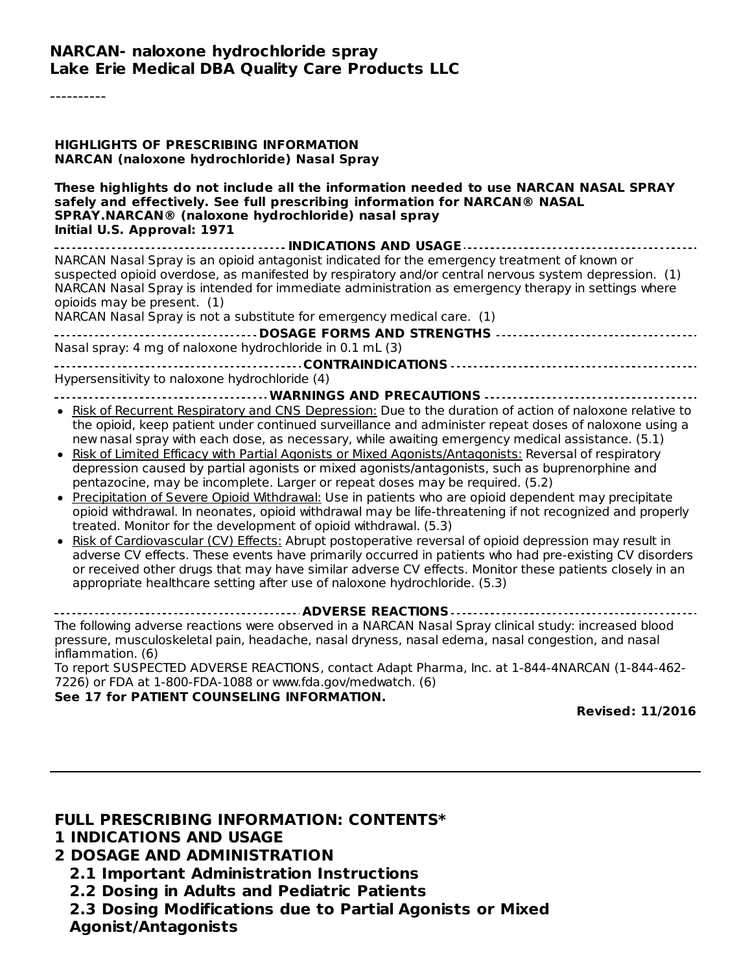----------

| HIGHLIGHTS OF PRESCRIBING INFORMATION<br>NARCAN (naloxone hydrochloride) Nasal Spray                                                                                                                                                                                                                                                                                                                                                                                                                                                                                                                                                                                                                                                                                                                                                                                                                                                                                                                                                                                                                                                                                                                                                                                                                                  |
|-----------------------------------------------------------------------------------------------------------------------------------------------------------------------------------------------------------------------------------------------------------------------------------------------------------------------------------------------------------------------------------------------------------------------------------------------------------------------------------------------------------------------------------------------------------------------------------------------------------------------------------------------------------------------------------------------------------------------------------------------------------------------------------------------------------------------------------------------------------------------------------------------------------------------------------------------------------------------------------------------------------------------------------------------------------------------------------------------------------------------------------------------------------------------------------------------------------------------------------------------------------------------------------------------------------------------|
| These highlights do not include all the information needed to use NARCAN NASAL SPRAY<br>safely and effectively. See full prescribing information for NARCAN® NASAL<br>SPRAY.NARCAN® (naloxone hydrochloride) nasal spray<br>Initial U.S. Approval: 1971                                                                                                                                                                                                                                                                                                                                                                                                                                                                                                                                                                                                                                                                                                                                                                                                                                                                                                                                                                                                                                                               |
| INDICATIONS AND USAGE<br>NARCAN Nasal Spray is an opioid antagonist indicated for the emergency treatment of known or<br>suspected opioid overdose, as manifested by respiratory and/or central nervous system depression. (1)<br>NARCAN Nasal Spray is intended for immediate administration as emergency therapy in settings where<br>opioids may be present. (1)<br>NARCAN Nasal Spray is not a substitute for emergency medical care. (1)<br>DOSAGE FORMS AND STRENGTHS<br>Nasal spray: 4 mg of naloxone hydrochloride in 0.1 mL (3)                                                                                                                                                                                                                                                                                                                                                                                                                                                                                                                                                                                                                                                                                                                                                                              |
| Hypersensitivity to naloxone hydrochloride (4)                                                                                                                                                                                                                                                                                                                                                                                                                                                                                                                                                                                                                                                                                                                                                                                                                                                                                                                                                                                                                                                                                                                                                                                                                                                                        |
| . Risk of Recurrent Respiratory and CNS Depression: Due to the duration of action of naloxone relative to<br>the opioid, keep patient under continued surveillance and administer repeat doses of naloxone using a<br>new nasal spray with each dose, as necessary, while awaiting emergency medical assistance. (5.1)<br>Risk of Limited Efficacy with Partial Agonists or Mixed Agonists/Antagonists: Reversal of respiratory<br>depression caused by partial agonists or mixed agonists/antagonists, such as buprenorphine and<br>pentazocine, may be incomplete. Larger or repeat doses may be required. (5.2)<br>• Precipitation of Severe Opioid Withdrawal: Use in patients who are opioid dependent may precipitate<br>opioid withdrawal. In neonates, opioid withdrawal may be life-threatening if not recognized and properly<br>treated. Monitor for the development of opioid withdrawal. (5.3)<br>Risk of Cardiovascular (CV) Effects: Abrupt postoperative reversal of opioid depression may result in<br>adverse CV effects. These events have primarily occurred in patients who had pre-existing CV disorders<br>or received other drugs that may have similar adverse CV effects. Monitor these patients closely in an<br>appropriate healthcare setting after use of naloxone hydrochloride. (5.3) |
| The following adverse reactions were observed in a NARCAN Nasal Spray clinical study: increased blood<br>pressure, musculoskeletal pain, headache, nasal dryness, nasal edema, nasal congestion, and nasal                                                                                                                                                                                                                                                                                                                                                                                                                                                                                                                                                                                                                                                                                                                                                                                                                                                                                                                                                                                                                                                                                                            |
| inflammation. (6)<br>To report SUSPECTED ADVERSE REACTIONS, contact Adapt Pharma, Inc. at 1-844-4NARCAN (1-844-462-<br>7226) or FDA at 1-800-FDA-1088 or www.fda.gov/medwatch. (6)                                                                                                                                                                                                                                                                                                                                                                                                                                                                                                                                                                                                                                                                                                                                                                                                                                                                                                                                                                                                                                                                                                                                    |
| See 17 for PATIENT COUNSELING INFORMATION.<br><b>Revised: 11/2016</b>                                                                                                                                                                                                                                                                                                                                                                                                                                                                                                                                                                                                                                                                                                                                                                                                                                                                                                                                                                                                                                                                                                                                                                                                                                                 |

#### **FULL PRESCRIBING INFORMATION: CONTENTS\***

#### **1 INDICATIONS AND USAGE**

#### **2 DOSAGE AND ADMINISTRATION**

- **2.1 Important Administration Instructions**
- **2.2 Dosing in Adults and Pediatric Patients**

**2.3 Dosing Modifications due to Partial Agonists or Mixed Agonist/Antagonists**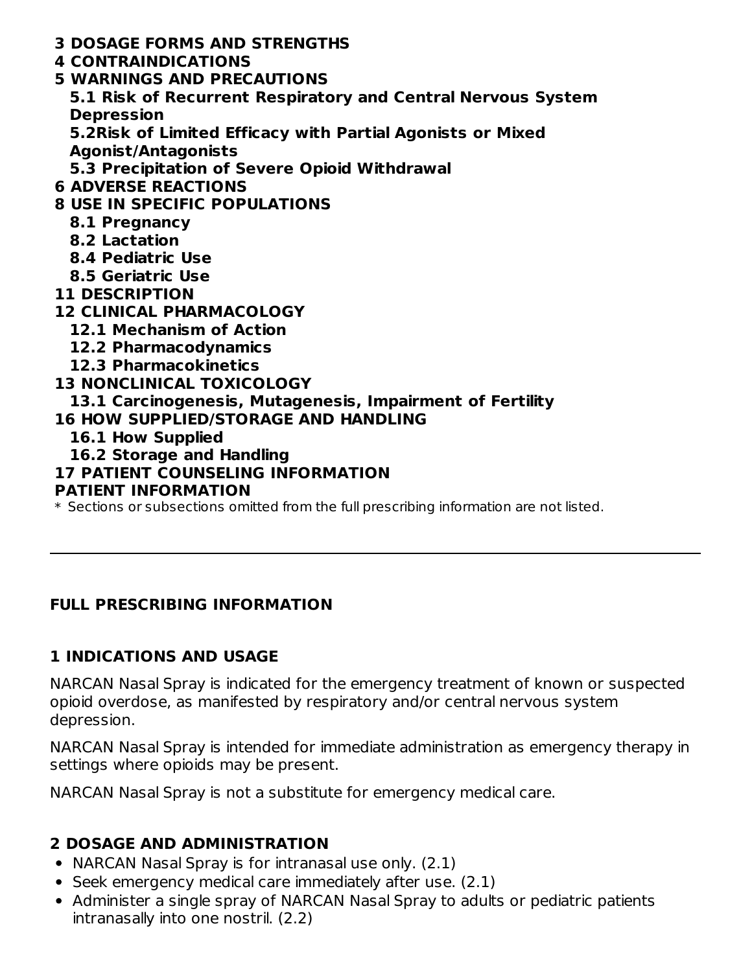- **3 DOSAGE FORMS AND STRENGTHS**
- **4 CONTRAINDICATIONS**
- **5 WARNINGS AND PRECAUTIONS**
	- **5.1 Risk of Recurrent Respiratory and Central Nervous System Depression**

**5.2Risk of Limited Efficacy with Partial Agonists or Mixed**

**Agonist/Antagonists**

**5.3 Precipitation of Severe Opioid Withdrawal**

**6 ADVERSE REACTIONS**

# **8 USE IN SPECIFIC POPULATIONS**

- **8.1 Pregnancy**
- **8.2 Lactation**
- **8.4 Pediatric Use**
- **8.5 Geriatric Use**
- **11 DESCRIPTION**

## **12 CLINICAL PHARMACOLOGY**

- **12.1 Mechanism of Action**
- **12.2 Pharmacodynamics**
- **12.3 Pharmacokinetics**

### **13 NONCLINICAL TOXICOLOGY**

**13.1 Carcinogenesis, Mutagenesis, Impairment of Fertility**

- **16 HOW SUPPLIED/STORAGE AND HANDLING**
	- **16.1 How Supplied**
	- **16.2 Storage and Handling**
- **17 PATIENT COUNSELING INFORMATION**

### **PATIENT INFORMATION**

 $\ast$  Sections or subsections omitted from the full prescribing information are not listed.

# **FULL PRESCRIBING INFORMATION**

# **1 INDICATIONS AND USAGE**

NARCAN Nasal Spray is indicated for the emergency treatment of known or suspected opioid overdose, as manifested by respiratory and/or central nervous system depression.

NARCAN Nasal Spray is intended for immediate administration as emergency therapy in settings where opioids may be present.

NARCAN Nasal Spray is not a substitute for emergency medical care.

# **2 DOSAGE AND ADMINISTRATION**

- NARCAN Nasal Spray is for intranasal use only. (2.1)
- Seek emergency medical care immediately after use. (2.1)
- Administer a single spray of NARCAN Nasal Spray to adults or pediatric patients intranasally into one nostril. (2.2)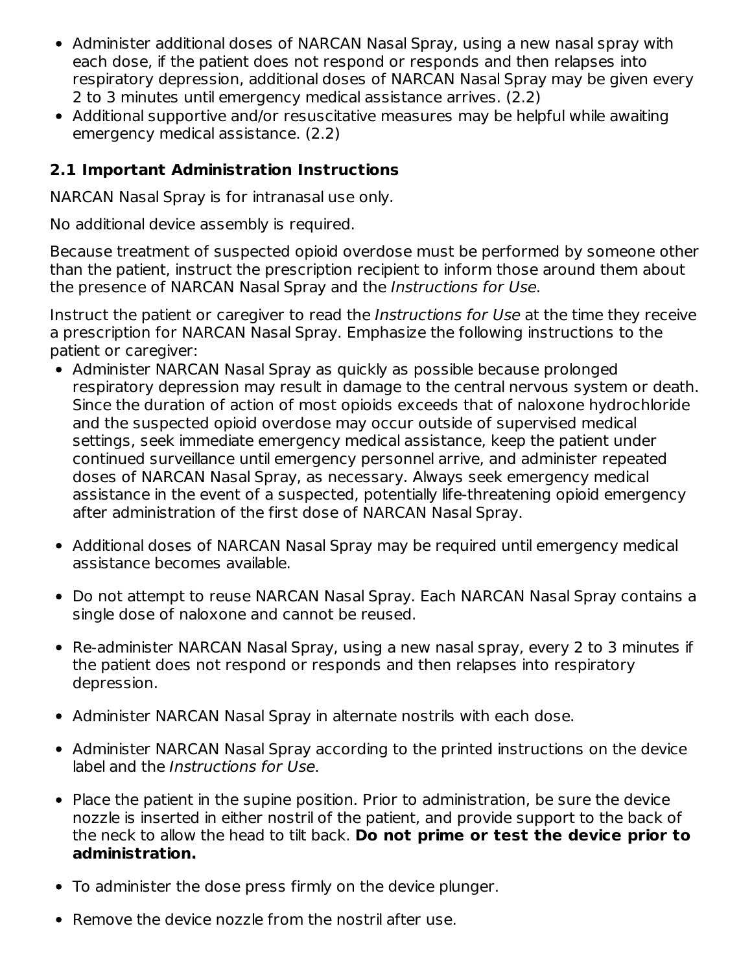- Administer additional doses of NARCAN Nasal Spray, using a new nasal spray with each dose, if the patient does not respond or responds and then relapses into respiratory depression, additional doses of NARCAN Nasal Spray may be given every 2 to 3 minutes until emergency medical assistance arrives. (2.2)
- Additional supportive and/or resuscitative measures may be helpful while awaiting emergency medical assistance. (2.2)

### **2.1 Important Administration Instructions**

NARCAN Nasal Spray is for intranasal use only.

No additional device assembly is required.

Because treatment of suspected opioid overdose must be performed by someone other than the patient, instruct the prescription recipient to inform those around them about the presence of NARCAN Nasal Spray and the Instructions for Use.

Instruct the patient or caregiver to read the Instructions for Use at the time they receive a prescription for NARCAN Nasal Spray. Emphasize the following instructions to the patient or caregiver:

- Administer NARCAN Nasal Spray as quickly as possible because prolonged respiratory depression may result in damage to the central nervous system or death. Since the duration of action of most opioids exceeds that of naloxone hydrochloride and the suspected opioid overdose may occur outside of supervised medical settings, seek immediate emergency medical assistance, keep the patient under continued surveillance until emergency personnel arrive, and administer repeated doses of NARCAN Nasal Spray, as necessary. Always seek emergency medical assistance in the event of a suspected, potentially life-threatening opioid emergency after administration of the first dose of NARCAN Nasal Spray.
- Additional doses of NARCAN Nasal Spray may be required until emergency medical assistance becomes available.
- Do not attempt to reuse NARCAN Nasal Spray. Each NARCAN Nasal Spray contains a single dose of naloxone and cannot be reused.
- Re-administer NARCAN Nasal Spray, using a new nasal spray, every 2 to 3 minutes if the patient does not respond or responds and then relapses into respiratory depression.
- Administer NARCAN Nasal Spray in alternate nostrils with each dose.
- Administer NARCAN Nasal Spray according to the printed instructions on the device label and the Instructions for Use.
- Place the patient in the supine position. Prior to administration, be sure the device nozzle is inserted in either nostril of the patient, and provide support to the back of the neck to allow the head to tilt back. **Do not prime or test the device prior to administration.**
- To administer the dose press firmly on the device plunger.
- Remove the device nozzle from the nostril after use.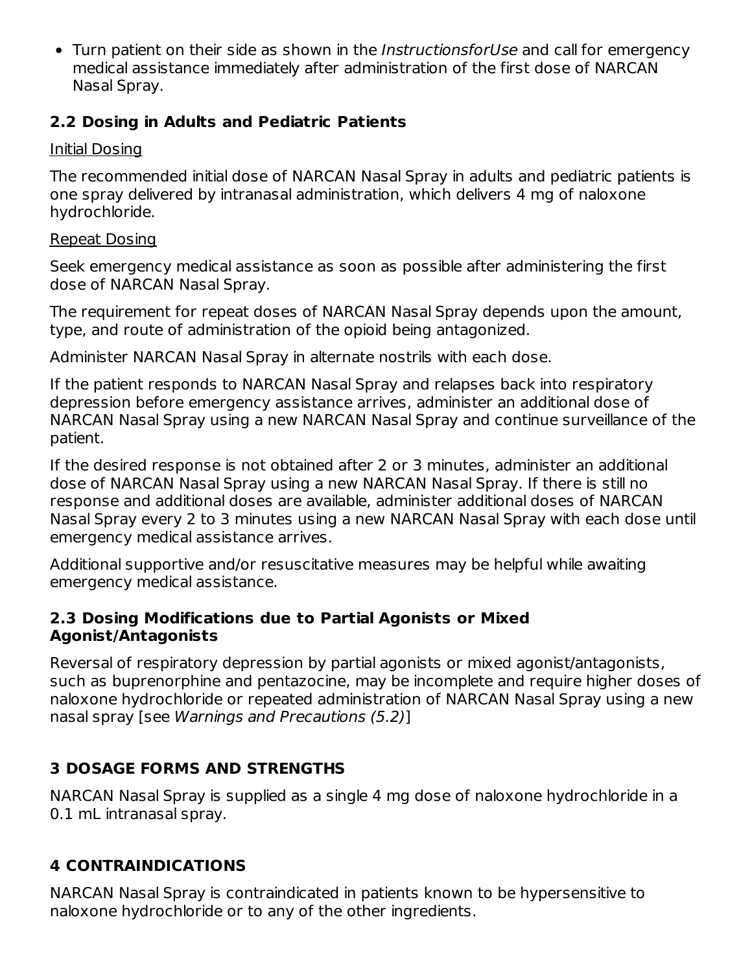• Turn patient on their side as shown in the InstructionsforUse and call for emergency medical assistance immediately after administration of the first dose of NARCAN Nasal Spray.

### **2.2 Dosing in Adults and Pediatric Patients**

### Initial Dosing

The recommended initial dose of NARCAN Nasal Spray in adults and pediatric patients is one spray delivered by intranasal administration, which delivers 4 mg of naloxone hydrochloride.

#### Repeat Dosing

Seek emergency medical assistance as soon as possible after administering the first dose of NARCAN Nasal Spray.

The requirement for repeat doses of NARCAN Nasal Spray depends upon the amount, type, and route of administration of the opioid being antagonized.

Administer NARCAN Nasal Spray in alternate nostrils with each dose.

If the patient responds to NARCAN Nasal Spray and relapses back into respiratory depression before emergency assistance arrives, administer an additional dose of NARCAN Nasal Spray using a new NARCAN Nasal Spray and continue surveillance of the patient.

If the desired response is not obtained after 2 or 3 minutes, administer an additional dose of NARCAN Nasal Spray using a new NARCAN Nasal Spray. If there is still no response and additional doses are available, administer additional doses of NARCAN Nasal Spray every 2 to 3 minutes using a new NARCAN Nasal Spray with each dose until emergency medical assistance arrives.

Additional supportive and/or resuscitative measures may be helpful while awaiting emergency medical assistance.

### **2.3 Dosing Modifications due to Partial Agonists or Mixed Agonist/Antagonists**

Reversal of respiratory depression by partial agonists or mixed agonist/antagonists, such as buprenorphine and pentazocine, may be incomplete and require higher doses of naloxone hydrochloride or repeated administration of NARCAN Nasal Spray using a new nasal spray [see Warnings and Precautions (5.2)]

### **3 DOSAGE FORMS AND STRENGTHS**

NARCAN Nasal Spray is supplied as a single 4 mg dose of naloxone hydrochloride in a 0.1 mL intranasal spray.

# **4 CONTRAINDICATIONS**

NARCAN Nasal Spray is contraindicated in patients known to be hypersensitive to naloxone hydrochloride or to any of the other ingredients.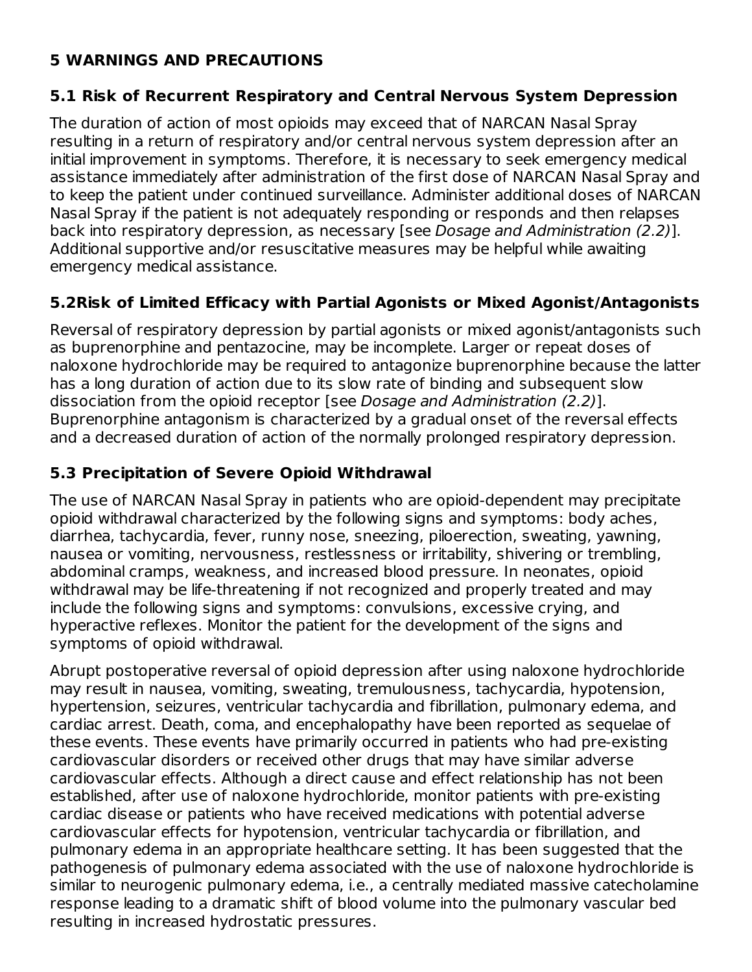### **5 WARNINGS AND PRECAUTIONS**

### **5.1 Risk of Recurrent Respiratory and Central Nervous System Depression**

The duration of action of most opioids may exceed that of NARCAN Nasal Spray resulting in a return of respiratory and/or central nervous system depression after an initial improvement in symptoms. Therefore, it is necessary to seek emergency medical assistance immediately after administration of the first dose of NARCAN Nasal Spray and to keep the patient under continued surveillance. Administer additional doses of NARCAN Nasal Spray if the patient is not adequately responding or responds and then relapses back into respiratory depression, as necessary [see Dosage and Administration (2.2)]. Additional supportive and/or resuscitative measures may be helpful while awaiting emergency medical assistance.

### **5.2Risk of Limited Efficacy with Partial Agonists or Mixed Agonist/Antagonists**

Reversal of respiratory depression by partial agonists or mixed agonist/antagonists such as buprenorphine and pentazocine, may be incomplete. Larger or repeat doses of naloxone hydrochloride may be required to antagonize buprenorphine because the latter has a long duration of action due to its slow rate of binding and subsequent slow dissociation from the opioid receptor [see Dosage and Administration (2.2)]. Buprenorphine antagonism is characterized by a gradual onset of the reversal effects and a decreased duration of action of the normally prolonged respiratory depression.

### **5.3 Precipitation of Severe Opioid Withdrawal**

The use of NARCAN Nasal Spray in patients who are opioid-dependent may precipitate opioid withdrawal characterized by the following signs and symptoms: body aches, diarrhea, tachycardia, fever, runny nose, sneezing, piloerection, sweating, yawning, nausea or vomiting, nervousness, restlessness or irritability, shivering or trembling, abdominal cramps, weakness, and increased blood pressure. In neonates, opioid withdrawal may be life-threatening if not recognized and properly treated and may include the following signs and symptoms: convulsions, excessive crying, and hyperactive reflexes. Monitor the patient for the development of the signs and symptoms of opioid withdrawal.

Abrupt postoperative reversal of opioid depression after using naloxone hydrochloride may result in nausea, vomiting, sweating, tremulousness, tachycardia, hypotension, hypertension, seizures, ventricular tachycardia and fibrillation, pulmonary edema, and cardiac arrest. Death, coma, and encephalopathy have been reported as sequelae of these events. These events have primarily occurred in patients who had pre-existing cardiovascular disorders or received other drugs that may have similar adverse cardiovascular effects. Although a direct cause and effect relationship has not been established, after use of naloxone hydrochloride, monitor patients with pre-existing cardiac disease or patients who have received medications with potential adverse cardiovascular effects for hypotension, ventricular tachycardia or fibrillation, and pulmonary edema in an appropriate healthcare setting. It has been suggested that the pathogenesis of pulmonary edema associated with the use of naloxone hydrochloride is similar to neurogenic pulmonary edema, i.e., a centrally mediated massive catecholamine response leading to a dramatic shift of blood volume into the pulmonary vascular bed resulting in increased hydrostatic pressures.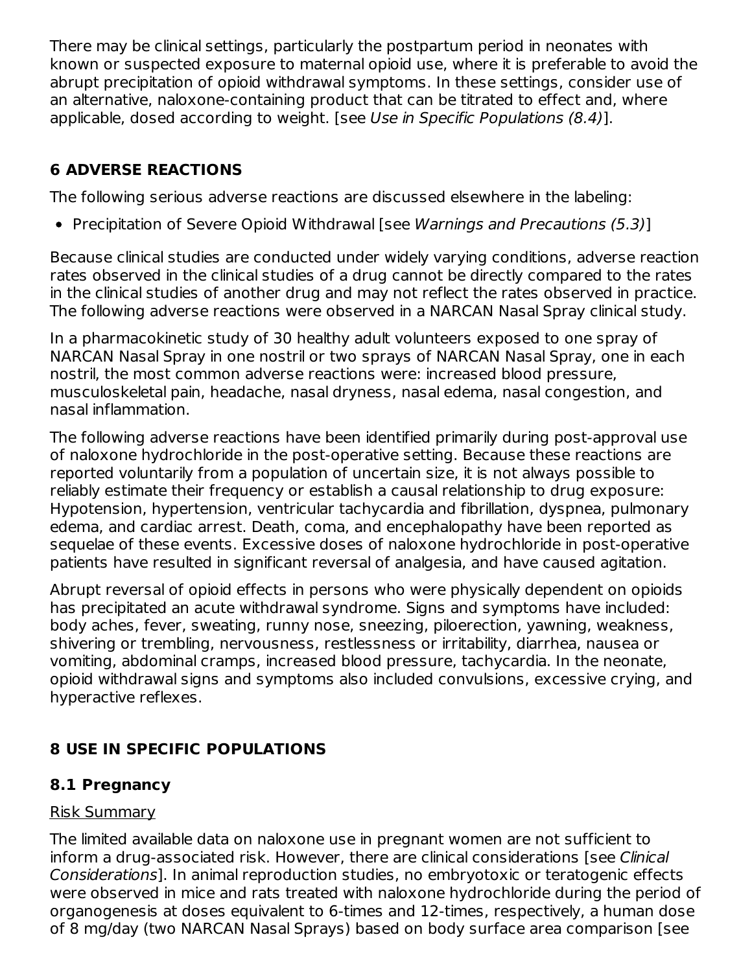There may be clinical settings, particularly the postpartum period in neonates with known or suspected exposure to maternal opioid use, where it is preferable to avoid the abrupt precipitation of opioid withdrawal symptoms. In these settings, consider use of an alternative, naloxone-containing product that can be titrated to effect and, where applicable, dosed according to weight. [see Use in Specific Populations (8.4)].

# **6 ADVERSE REACTIONS**

The following serious adverse reactions are discussed elsewhere in the labeling:

• Precipitation of Severe Opioid Withdrawal [see Warnings and Precautions (5.3)]

Because clinical studies are conducted under widely varying conditions, adverse reaction rates observed in the clinical studies of a drug cannot be directly compared to the rates in the clinical studies of another drug and may not reflect the rates observed in practice. The following adverse reactions were observed in a NARCAN Nasal Spray clinical study.

In a pharmacokinetic study of 30 healthy adult volunteers exposed to one spray of NARCAN Nasal Spray in one nostril or two sprays of NARCAN Nasal Spray, one in each nostril, the most common adverse reactions were: increased blood pressure, musculoskeletal pain, headache, nasal dryness, nasal edema, nasal congestion, and nasal inflammation.

The following adverse reactions have been identified primarily during post-approval use of naloxone hydrochloride in the post-operative setting. Because these reactions are reported voluntarily from a population of uncertain size, it is not always possible to reliably estimate their frequency or establish a causal relationship to drug exposure: Hypotension, hypertension, ventricular tachycardia and fibrillation, dyspnea, pulmonary edema, and cardiac arrest. Death, coma, and encephalopathy have been reported as sequelae of these events. Excessive doses of naloxone hydrochloride in post-operative patients have resulted in significant reversal of analgesia, and have caused agitation.

Abrupt reversal of opioid effects in persons who were physically dependent on opioids has precipitated an acute withdrawal syndrome. Signs and symptoms have included: body aches, fever, sweating, runny nose, sneezing, piloerection, yawning, weakness, shivering or trembling, nervousness, restlessness or irritability, diarrhea, nausea or vomiting, abdominal cramps, increased blood pressure, tachycardia. In the neonate, opioid withdrawal signs and symptoms also included convulsions, excessive crying, and hyperactive reflexes.

# **8 USE IN SPECIFIC POPULATIONS**

# **8.1 Pregnancy**

### Risk Summary

The limited available data on naloxone use in pregnant women are not sufficient to inform a drug-associated risk. However, there are clinical considerations [see Clinical Considerations]. In animal reproduction studies, no embryotoxic or teratogenic effects were observed in mice and rats treated with naloxone hydrochloride during the period of organogenesis at doses equivalent to 6-times and 12-times, respectively, a human dose of 8 mg/day (two NARCAN Nasal Sprays) based on body surface area comparison [see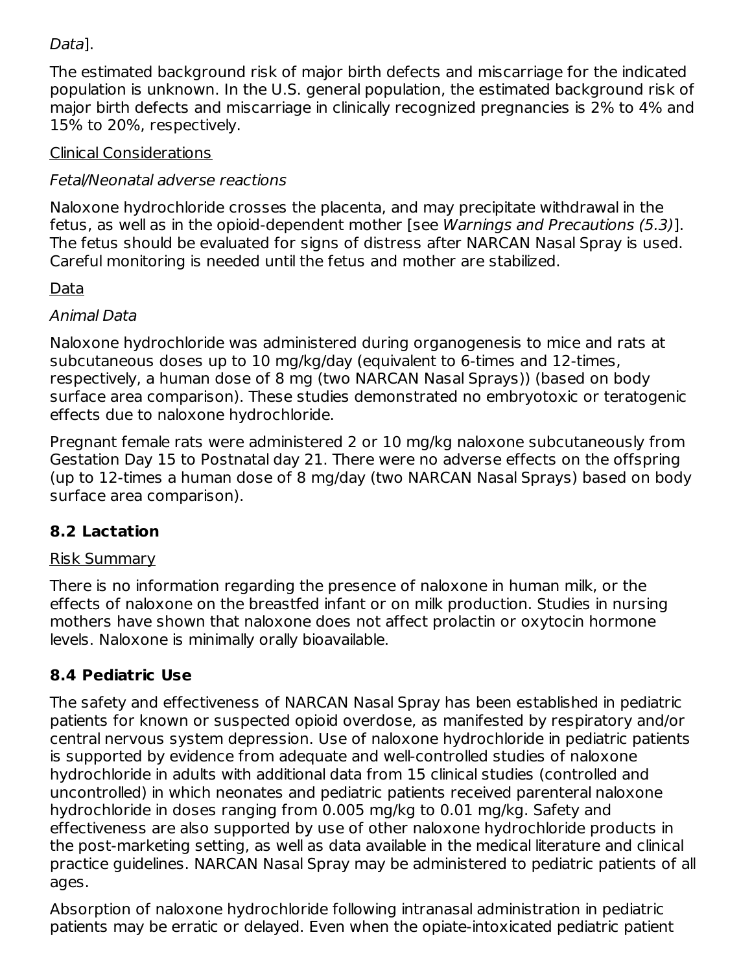### Data].

The estimated background risk of major birth defects and miscarriage for the indicated population is unknown. In the U.S. general population, the estimated background risk of major birth defects and miscarriage in clinically recognized pregnancies is 2% to 4% and 15% to 20%, respectively.

### Clinical Considerations

### Fetal/Neonatal adverse reactions

Naloxone hydrochloride crosses the placenta, and may precipitate withdrawal in the fetus, as well as in the opioid-dependent mother [see Warnings and Precautions (5.3)]. The fetus should be evaluated for signs of distress after NARCAN Nasal Spray is used. Careful monitoring is needed until the fetus and mother are stabilized.

### Data

### Animal Data

Naloxone hydrochloride was administered during organogenesis to mice and rats at subcutaneous doses up to 10 mg/kg/day (equivalent to 6-times and 12-times, respectively, a human dose of 8 mg (two NARCAN Nasal Sprays)) (based on body surface area comparison). These studies demonstrated no embryotoxic or teratogenic effects due to naloxone hydrochloride.

Pregnant female rats were administered 2 or 10 mg/kg naloxone subcutaneously from Gestation Day 15 to Postnatal day 21. There were no adverse effects on the offspring (up to 12-times a human dose of 8 mg/day (two NARCAN Nasal Sprays) based on body surface area comparison).

# **8.2 Lactation**

### Risk Summary

There is no information regarding the presence of naloxone in human milk, or the effects of naloxone on the breastfed infant or on milk production. Studies in nursing mothers have shown that naloxone does not affect prolactin or oxytocin hormone levels. Naloxone is minimally orally bioavailable.

# **8.4 Pediatric Use**

The safety and effectiveness of NARCAN Nasal Spray has been established in pediatric patients for known or suspected opioid overdose, as manifested by respiratory and/or central nervous system depression. Use of naloxone hydrochloride in pediatric patients is supported by evidence from adequate and well-controlled studies of naloxone hydrochloride in adults with additional data from 15 clinical studies (controlled and uncontrolled) in which neonates and pediatric patients received parenteral naloxone hydrochloride in doses ranging from 0.005 mg/kg to 0.01 mg/kg. Safety and effectiveness are also supported by use of other naloxone hydrochloride products in the post-marketing setting, as well as data available in the medical literature and clinical practice guidelines. NARCAN Nasal Spray may be administered to pediatric patients of all ages.

Absorption of naloxone hydrochloride following intranasal administration in pediatric patients may be erratic or delayed. Even when the opiate-intoxicated pediatric patient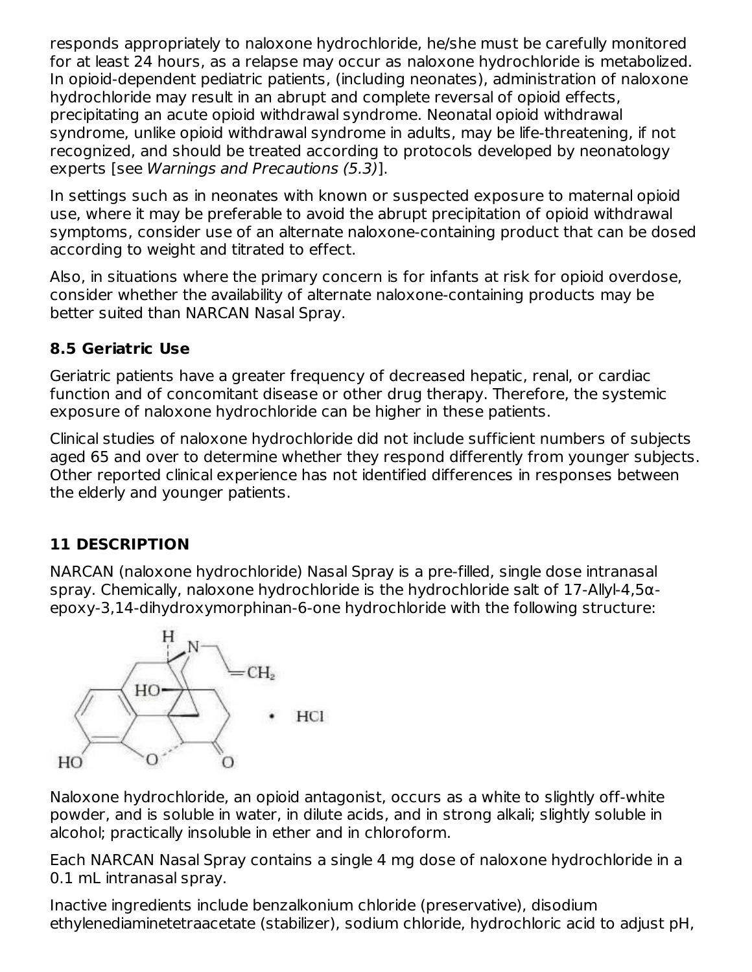responds appropriately to naloxone hydrochloride, he/she must be carefully monitored for at least 24 hours, as a relapse may occur as naloxone hydrochloride is metabolized. In opioid-dependent pediatric patients, (including neonates), administration of naloxone hydrochloride may result in an abrupt and complete reversal of opioid effects, precipitating an acute opioid withdrawal syndrome. Neonatal opioid withdrawal syndrome, unlike opioid withdrawal syndrome in adults, may be life-threatening, if not recognized, and should be treated according to protocols developed by neonatology experts [see Warnings and Precautions (5.3)].

In settings such as in neonates with known or suspected exposure to maternal opioid use, where it may be preferable to avoid the abrupt precipitation of opioid withdrawal symptoms, consider use of an alternate naloxone-containing product that can be dosed according to weight and titrated to effect.

Also, in situations where the primary concern is for infants at risk for opioid overdose, consider whether the availability of alternate naloxone-containing products may be better suited than NARCAN Nasal Spray.

## **8.5 Geriatric Use**

Geriatric patients have a greater frequency of decreased hepatic, renal, or cardiac function and of concomitant disease or other drug therapy. Therefore, the systemic exposure of naloxone hydrochloride can be higher in these patients.

Clinical studies of naloxone hydrochloride did not include sufficient numbers of subjects aged 65 and over to determine whether they respond differently from younger subjects. Other reported clinical experience has not identified differences in responses between the elderly and younger patients.

# **11 DESCRIPTION**

NARCAN (naloxone hydrochloride) Nasal Spray is a pre-filled, single dose intranasal spray. Chemically, naloxone hydrochloride is the hydrochloride salt of 17-Allyl-4,5αepoxy-3,14-dihydroxymorphinan-6-one hydrochloride with the following structure:



Naloxone hydrochloride, an opioid antagonist, occurs as a white to slightly off-white powder, and is soluble in water, in dilute acids, and in strong alkali; slightly soluble in alcohol; practically insoluble in ether and in chloroform.

Each NARCAN Nasal Spray contains a single 4 mg dose of naloxone hydrochloride in a 0.1 mL intranasal spray.

Inactive ingredients include benzalkonium chloride (preservative), disodium ethylenediaminetetraacetate (stabilizer), sodium chloride, hydrochloric acid to adjust pH,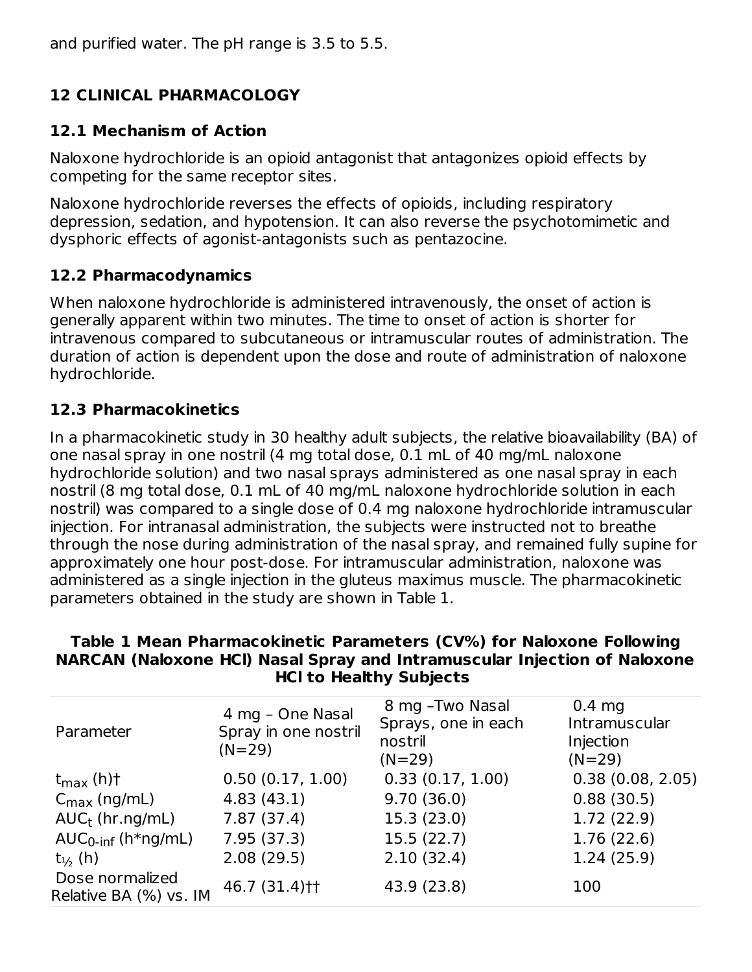# **12 CLINICAL PHARMACOLOGY**

### **12.1 Mechanism of Action**

Naloxone hydrochloride is an opioid antagonist that antagonizes opioid effects by competing for the same receptor sites.

Naloxone hydrochloride reverses the effects of opioids, including respiratory depression, sedation, and hypotension. It can also reverse the psychotomimetic and dysphoric effects of agonist-antagonists such as pentazocine.

## **12.2 Pharmacodynamics**

When naloxone hydrochloride is administered intravenously, the onset of action is generally apparent within two minutes. The time to onset of action is shorter for intravenous compared to subcutaneous or intramuscular routes of administration. The duration of action is dependent upon the dose and route of administration of naloxone hydrochloride.

### **12.3 Pharmacokinetics**

In a pharmacokinetic study in 30 healthy adult subjects, the relative bioavailability (BA) of one nasal spray in one nostril (4 mg total dose, 0.1 mL of 40 mg/mL naloxone hydrochloride solution) and two nasal sprays administered as one nasal spray in each nostril (8 mg total dose, 0.1 mL of 40 mg/mL naloxone hydrochloride solution in each nostril) was compared to a single dose of 0.4 mg naloxone hydrochloride intramuscular injection. For intranasal administration, the subjects were instructed not to breathe through the nose during administration of the nasal spray, and remained fully supine for approximately one hour post-dose. For intramuscular administration, naloxone was administered as a single injection in the gluteus maximus muscle. The pharmacokinetic parameters obtained in the study are shown in Table 1.

#### **Table 1 Mean Pharmacokinetic Parameters (CV%) for Naloxone Following NARCAN (Naloxone HCl) Nasal Spray and Intramuscular Injection of Naloxone HCl to Healthy Subjects**

| Parameter                                 | 4 mg - One Nasal<br>Spray in one nostril<br>$(N=29)$ | 8 mg - Two Nasal<br>Sprays, one in each<br>nostril<br>$(N=29)$ | $0.4$ mg<br>Intramuscular<br>Injection<br>$(N=29)$ |
|-------------------------------------------|------------------------------------------------------|----------------------------------------------------------------|----------------------------------------------------|
| $t_{\text{max}}$ (h)†                     | 0.50(0.17, 1.00)                                     | 0.33(0.17, 1.00)                                               | 0.38(0.08, 2.05)                                   |
| $C_{\text{max}}$ (ng/mL)                  | 4.83(43.1)                                           | 9.70(36.0)                                                     | 0.88(30.5)                                         |
| $AUC_t$ (hr.ng/mL)                        | 7.87(37.4)                                           | 15.3(23.0)                                                     | 1.72(22.9)                                         |
| $AUC_{0\text{-inf}}$ (h*ng/mL)            | 7.95(37.3)                                           | 15.5(22.7)                                                     | 1.76(22.6)                                         |
| $t_{\frac{1}{2}}$ (h)                     | 2.08(29.5)                                           | 2.10(32.4)                                                     | 1.24(25.9)                                         |
| Dose normalized<br>Relative BA (%) vs. IM | 46.7 (31.4)††                                        | 43.9 (23.8)                                                    | 100                                                |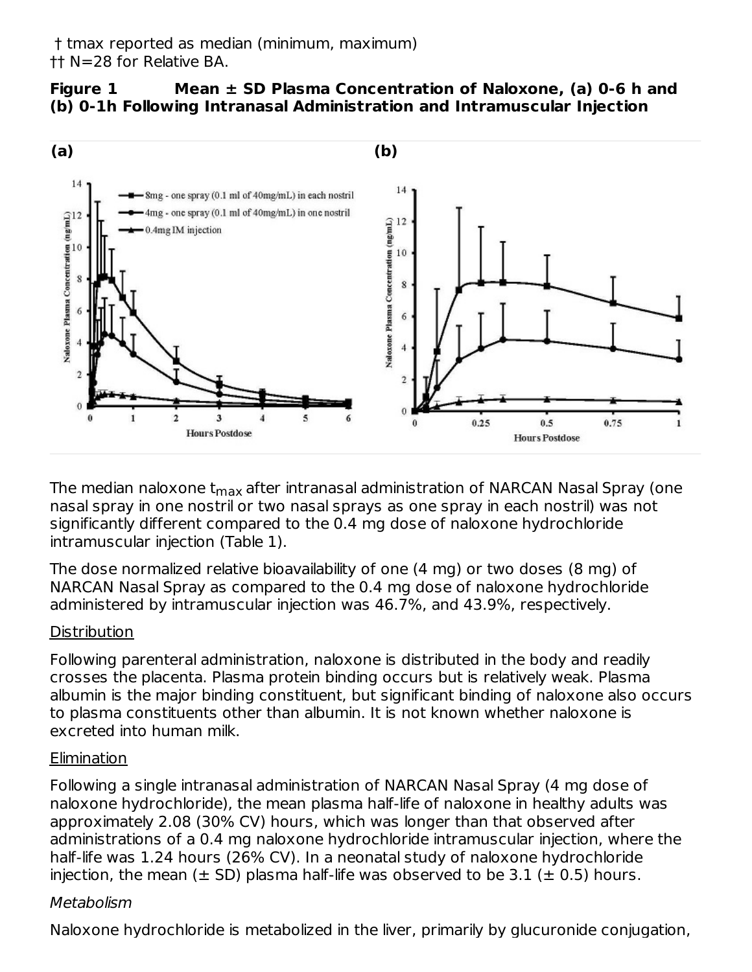### **Figure 1 Mean ± SD Plasma Concentration of Naloxone, (a) 0-6 h and (b) 0-1h Following Intranasal Administration and Intramuscular Injection**



The median naloxone t<sub>max</sub> after intranasal administration of NARCAN Nasal Spray (one nasal spray in one nostril or two nasal sprays as one spray in each nostril) was not significantly different compared to the 0.4 mg dose of naloxone hydrochloride intramuscular injection (Table 1).

The dose normalized relative bioavailability of one (4 mg) or two doses (8 mg) of NARCAN Nasal Spray as compared to the 0.4 mg dose of naloxone hydrochloride administered by intramuscular injection was 46.7%, and 43.9%, respectively.

### **Distribution**

Following parenteral administration, naloxone is distributed in the body and readily crosses the placenta. Plasma protein binding occurs but is relatively weak. Plasma albumin is the major binding constituent, but significant binding of naloxone also occurs to plasma constituents other than albumin. It is not known whether naloxone is excreted into human milk.

### Elimination

Following a single intranasal administration of NARCAN Nasal Spray (4 mg dose of naloxone hydrochloride), the mean plasma half-life of naloxone in healthy adults was approximately 2.08 (30% CV) hours, which was longer than that observed after administrations of a 0.4 mg naloxone hydrochloride intramuscular injection, where the half-life was 1.24 hours (26% CV). In a neonatal study of naloxone hydrochloride injection, the mean ( $\pm$  SD) plasma half-life was observed to be 3.1 ( $\pm$  0.5) hours.

### Metabolism

Naloxone hydrochloride is metabolized in the liver, primarily by glucuronide conjugation,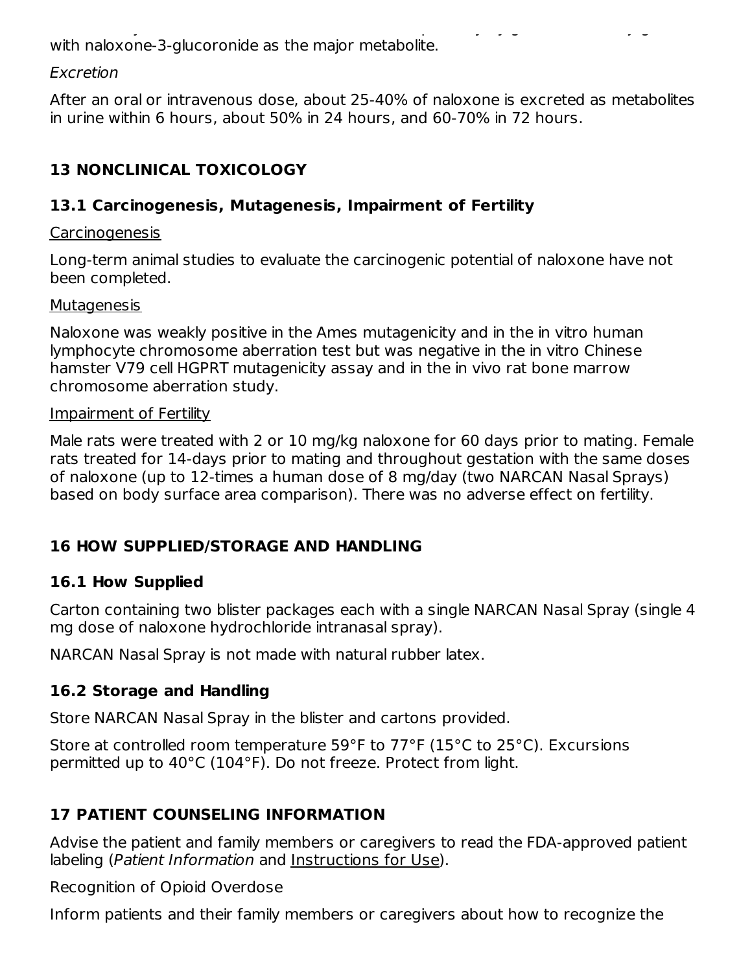Naloxone hydrochloride is metabolized in the liver, primarily by glucuronide conjugation, with naloxone-3-glucoronide as the major metabolite.

#### Excretion

After an oral or intravenous dose, about 25-40% of naloxone is excreted as metabolites in urine within 6 hours, about 50% in 24 hours, and 60-70% in 72 hours.

# **13 NONCLINICAL TOXICOLOGY**

### **13.1 Carcinogenesis, Mutagenesis, Impairment of Fertility**

#### Carcinogenesis

Long-term animal studies to evaluate the carcinogenic potential of naloxone have not been completed.

#### **Mutagenesis**

Naloxone was weakly positive in the Ames mutagenicity and in the in vitro human lymphocyte chromosome aberration test but was negative in the in vitro Chinese hamster V79 cell HGPRT mutagenicity assay and in the in vivo rat bone marrow chromosome aberration study.

#### Impairment of Fertility

Male rats were treated with 2 or 10 mg/kg naloxone for 60 days prior to mating. Female rats treated for 14-days prior to mating and throughout gestation with the same doses of naloxone (up to 12-times a human dose of 8 mg/day (two NARCAN Nasal Sprays) based on body surface area comparison). There was no adverse effect on fertility.

### **16 HOW SUPPLIED/STORAGE AND HANDLING**

### **16.1 How Supplied**

Carton containing two blister packages each with a single NARCAN Nasal Spray (single 4 mg dose of naloxone hydrochloride intranasal spray).

NARCAN Nasal Spray is not made with natural rubber latex.

### **16.2 Storage and Handling**

Store NARCAN Nasal Spray in the blister and cartons provided.

Store at controlled room temperature 59°F to 77°F (15°C to 25°C). Excursions permitted up to 40°C (104°F). Do not freeze. Protect from light.

# **17 PATIENT COUNSELING INFORMATION**

Advise the patient and family members or caregivers to read the FDA-approved patient labeling (Patient Information and Instructions for Use).

Recognition of Opioid Overdose

Inform patients and their family members or caregivers about how to recognize the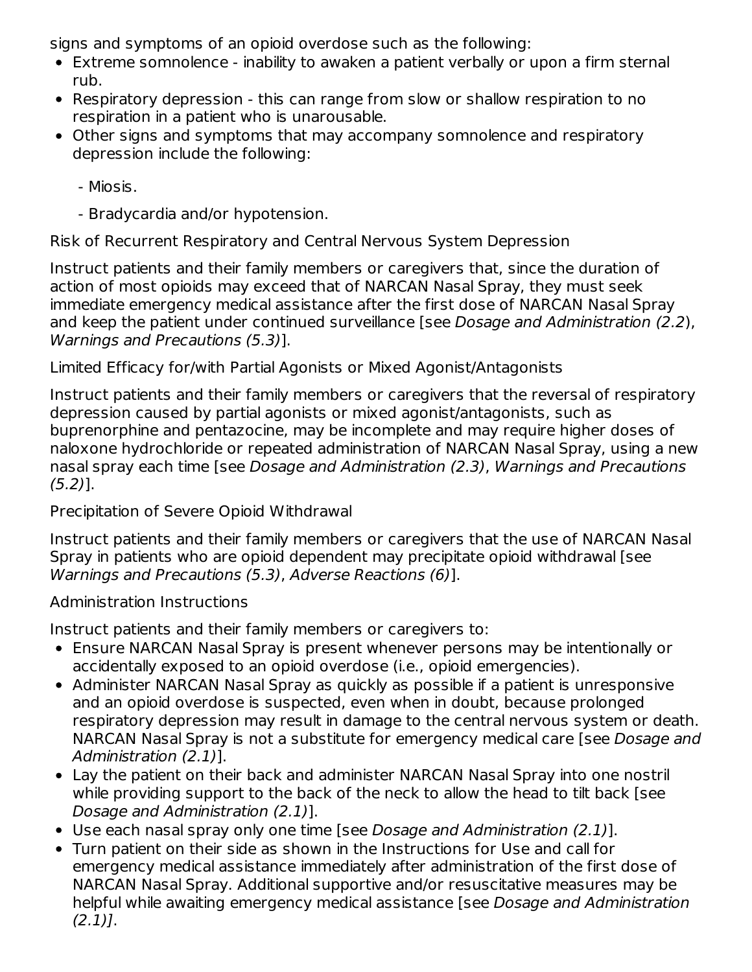signs and symptoms of an opioid overdose such as the following:

- Extreme somnolence inability to awaken a patient verbally or upon a firm sternal rub.
- Respiratory depression this can range from slow or shallow respiration to no respiration in a patient who is unarousable.
- Other signs and symptoms that may accompany somnolence and respiratory depression include the following:
	- Miosis.
	- Bradycardia and/or hypotension.

Risk of Recurrent Respiratory and Central Nervous System Depression

Instruct patients and their family members or caregivers that, since the duration of action of most opioids may exceed that of NARCAN Nasal Spray, they must seek immediate emergency medical assistance after the first dose of NARCAN Nasal Spray and keep the patient under continued surveillance [see Dosage and Administration (2.2), Warnings and Precautions (5.3)].

### Limited Efficacy for/with Partial Agonists or Mixed Agonist/Antagonists

Instruct patients and their family members or caregivers that the reversal of respiratory depression caused by partial agonists or mixed agonist/antagonists, such as buprenorphine and pentazocine, may be incomplete and may require higher doses of naloxone hydrochloride or repeated administration of NARCAN Nasal Spray, using a new nasal spray each time [see Dosage and Administration (2.3), Warnings and Precautions  $(5.2)$ ].

Precipitation of Severe Opioid Withdrawal

Instruct patients and their family members or caregivers that the use of NARCAN Nasal Spray in patients who are opioid dependent may precipitate opioid withdrawal [see Warnings and Precautions (5.3), Adverse Reactions (6)].

### Administration Instructions

Instruct patients and their family members or caregivers to:

- Ensure NARCAN Nasal Spray is present whenever persons may be intentionally or accidentally exposed to an opioid overdose (i.e., opioid emergencies).
- Administer NARCAN Nasal Spray as quickly as possible if a patient is unresponsive and an opioid overdose is suspected, even when in doubt, because prolonged respiratory depression may result in damage to the central nervous system or death. NARCAN Nasal Spray is not a substitute for emergency medical care [see Dosage and Administration (2.1)].
- Lay the patient on their back and administer NARCAN Nasal Spray into one nostril while providing support to the back of the neck to allow the head to tilt back [see Dosage and Administration (2.1)].
- Use each nasal spray only one time [see Dosage and Administration (2.1)].
- Turn patient on their side as shown in the Instructions for Use and call for emergency medical assistance immediately after administration of the first dose of NARCAN Nasal Spray. Additional supportive and/or resuscitative measures may be helpful while awaiting emergency medical assistance [see Dosage and Administration  $(2.1)$ ].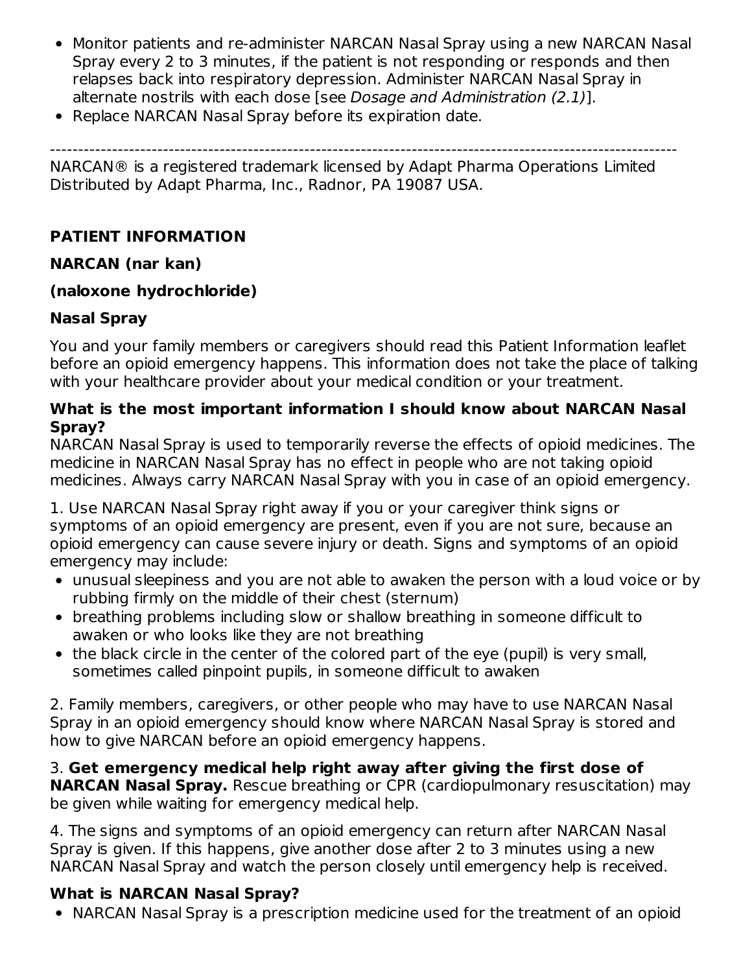- Monitor patients and re-administer NARCAN Nasal Spray using a new NARCAN Nasal Spray every 2 to 3 minutes, if the patient is not responding or responds and then relapses back into respiratory depression. Administer NARCAN Nasal Spray in alternate nostrils with each dose [see Dosage and Administration (2.1)].
- Replace NARCAN Nasal Spray before its expiration date.

--------------------------------------------------------------------------------------------------------------- NARCAN® is a registered trademark licensed by Adapt Pharma Operations Limited Distributed by Adapt Pharma, Inc., Radnor, PA 19087 USA.

# **PATIENT INFORMATION**

## **NARCAN (nar kan)**

## **(naloxone hydrochloride)**

## **Nasal Spray**

You and your family members or caregivers should read this Patient Information leaflet before an opioid emergency happens. This information does not take the place of talking with your healthcare provider about your medical condition or your treatment.

### **What is the most important information I should know about NARCAN Nasal Spray?**

NARCAN Nasal Spray is used to temporarily reverse the effects of opioid medicines. The medicine in NARCAN Nasal Spray has no effect in people who are not taking opioid medicines. Always carry NARCAN Nasal Spray with you in case of an opioid emergency.

1. Use NARCAN Nasal Spray right away if you or your caregiver think signs or symptoms of an opioid emergency are present, even if you are not sure, because an opioid emergency can cause severe injury or death. Signs and symptoms of an opioid emergency may include:

- unusual sleepiness and you are not able to awaken the person with a loud voice or by rubbing firmly on the middle of their chest (sternum)
- breathing problems including slow or shallow breathing in someone difficult to awaken or who looks like they are not breathing
- the black circle in the center of the colored part of the eye (pupil) is very small, sometimes called pinpoint pupils, in someone difficult to awaken

2. Family members, caregivers, or other people who may have to use NARCAN Nasal Spray in an opioid emergency should know where NARCAN Nasal Spray is stored and how to give NARCAN before an opioid emergency happens.

3. **Get emergency medical help right away after giving the first dose of NARCAN Nasal Spray.** Rescue breathing or CPR (cardiopulmonary resuscitation) may be given while waiting for emergency medical help.

4. The signs and symptoms of an opioid emergency can return after NARCAN Nasal Spray is given. If this happens, give another dose after 2 to 3 minutes using a new NARCAN Nasal Spray and watch the person closely until emergency help is received.

# **What is NARCAN Nasal Spray?**

NARCAN Nasal Spray is a prescription medicine used for the treatment of an opioid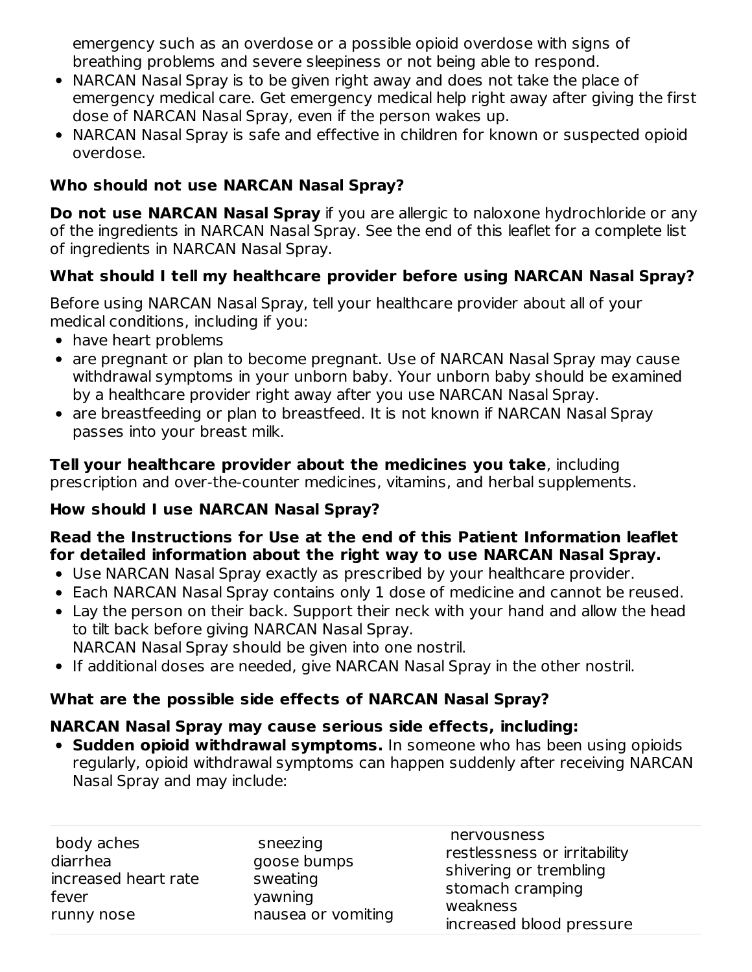emergency such as an overdose or a possible opioid overdose with signs of breathing problems and severe sleepiness or not being able to respond.

- NARCAN Nasal Spray is to be given right away and does not take the place of emergency medical care. Get emergency medical help right away after giving the first dose of NARCAN Nasal Spray, even if the person wakes up.
- NARCAN Nasal Spray is safe and effective in children for known or suspected opioid overdose.

# **Who should not use NARCAN Nasal Spray?**

**Do not use NARCAN Nasal Spray** if you are allergic to naloxone hydrochloride or any of the ingredients in NARCAN Nasal Spray. See the end of this leaflet for a complete list of ingredients in NARCAN Nasal Spray.

# **What should I tell my healthcare provider before using NARCAN Nasal Spray?**

Before using NARCAN Nasal Spray, tell your healthcare provider about all of your medical conditions, including if you:

- have heart problems
- are pregnant or plan to become pregnant. Use of NARCAN Nasal Spray may cause withdrawal symptoms in your unborn baby. Your unborn baby should be examined by a healthcare provider right away after you use NARCAN Nasal Spray.
- are breastfeeding or plan to breastfeed. It is not known if NARCAN Nasal Spray passes into your breast milk.

**Tell your healthcare provider about the medicines you take**, including prescription and over-the-counter medicines, vitamins, and herbal supplements.

# **How should I use NARCAN Nasal Spray?**

### **Read the Instructions for Use at the end of this Patient Information leaflet for detailed information about the right way to use NARCAN Nasal Spray.**

- Use NARCAN Nasal Spray exactly as prescribed by your healthcare provider.
- Each NARCAN Nasal Spray contains only 1 dose of medicine and cannot be reused.
- Lay the person on their back. Support their neck with your hand and allow the head to tilt back before giving NARCAN Nasal Spray. NARCAN Nasal Spray should be given into one nostril.
- If additional doses are needed, give NARCAN Nasal Spray in the other nostril.

# **What are the possible side effects of NARCAN Nasal Spray?**

### **NARCAN Nasal Spray may cause serious side effects, including:**

**Sudden opioid withdrawal symptoms.** In someone who has been using opioids regularly, opioid withdrawal symptoms can happen suddenly after receiving NARCAN Nasal Spray and may include:

| body aches<br>diarrhea<br>increased heart rate<br>fever<br>runny nose | sneezing<br>goose bumps<br>sweating<br>yawning<br>nausea or vomiting | nervousness<br>restlessness or irritability<br>shivering or trembling<br>stomach cramping<br>weakness<br>increased blood pressure |
|-----------------------------------------------------------------------|----------------------------------------------------------------------|-----------------------------------------------------------------------------------------------------------------------------------|
|-----------------------------------------------------------------------|----------------------------------------------------------------------|-----------------------------------------------------------------------------------------------------------------------------------|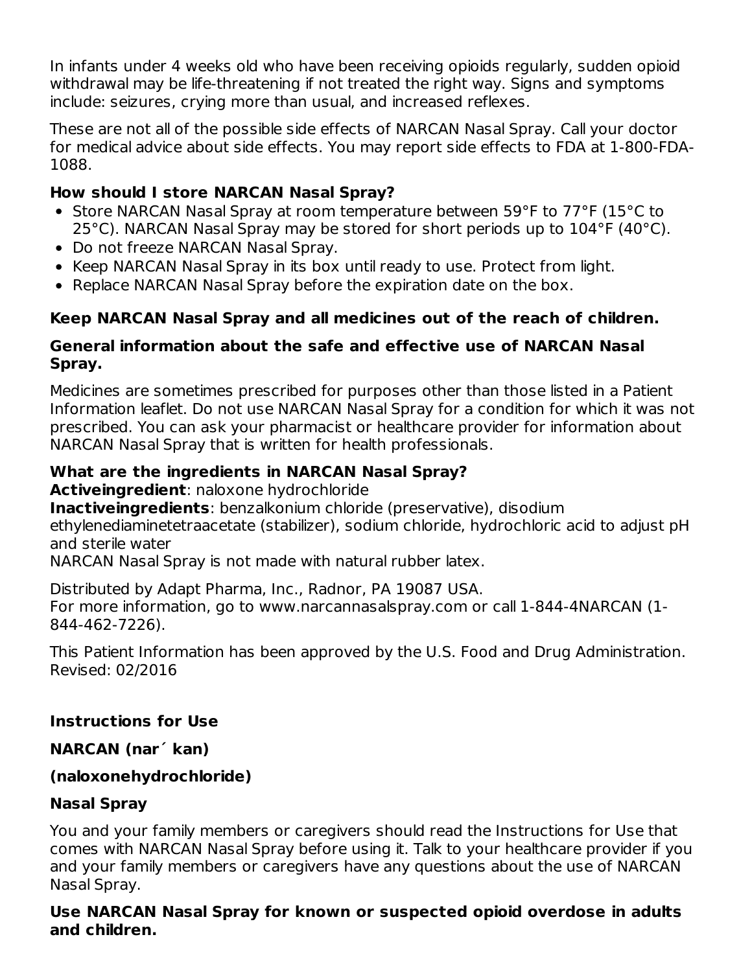In infants under 4 weeks old who have been receiving opioids regularly, sudden opioid withdrawal may be life-threatening if not treated the right way. Signs and symptoms include: seizures, crying more than usual, and increased reflexes.

These are not all of the possible side effects of NARCAN Nasal Spray. Call your doctor for medical advice about side effects. You may report side effects to FDA at 1-800-FDA-1088.

### **How should I store NARCAN Nasal Spray?**

- Store NARCAN Nasal Spray at room temperature between 59°F to 77°F (15°C to 25°C). NARCAN Nasal Spray may be stored for short periods up to 104°F (40°C).
- Do not freeze NARCAN Nasal Spray.
- Keep NARCAN Nasal Spray in its box until ready to use. Protect from light.
- Replace NARCAN Nasal Spray before the expiration date on the box.

# **Keep NARCAN Nasal Spray and all medicines out of the reach of children.**

### **General information about the safe and effective use of NARCAN Nasal Spray.**

Medicines are sometimes prescribed for purposes other than those listed in a Patient Information leaflet. Do not use NARCAN Nasal Spray for a condition for which it was not prescribed. You can ask your pharmacist or healthcare provider for information about NARCAN Nasal Spray that is written for health professionals.

## **What are the ingredients in NARCAN Nasal Spray?**

**Activeingredient**: naloxone hydrochloride

**Inactiveingredients**: benzalkonium chloride (preservative), disodium

ethylenediaminetetraacetate (stabilizer), sodium chloride, hydrochloric acid to adjust pH and sterile water

NARCAN Nasal Spray is not made with natural rubber latex.

Distributed by Adapt Pharma, Inc., Radnor, PA 19087 USA. For more information, go to www.narcannasalspray.com or call 1-844-4NARCAN (1- 844-462-7226).

This Patient Information has been approved by the U.S. Food and Drug Administration. Revised: 02/2016

# **Instructions for Use**

# **NARCAN (nar´ kan)**

# **(naloxonehydrochloride)**

# **Nasal Spray**

You and your family members or caregivers should read the Instructions for Use that comes with NARCAN Nasal Spray before using it. Talk to your healthcare provider if you and your family members or caregivers have any questions about the use of NARCAN Nasal Spray.

### **Use NARCAN Nasal Spray for known or suspected opioid overdose in adults and children.**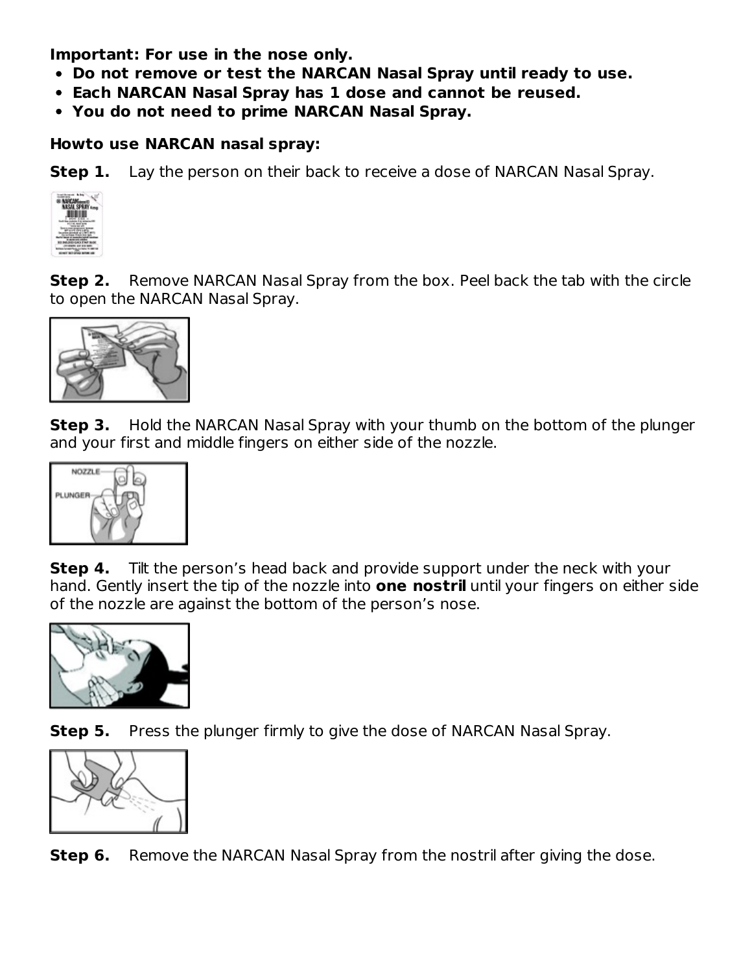**Important: For use in the nose only.**

- **Do not remove or test the NARCAN Nasal Spray until ready to use.**
- **Each NARCAN Nasal Spray has 1 dose and cannot be reused.**
- **You do not need to prime NARCAN Nasal Spray.**

### **Howto use NARCAN nasal spray:**

**Step 1.** Lay the person on their back to receive a dose of NARCAN Nasal Spray.



**Step 2.** Remove NARCAN Nasal Spray from the box. Peel back the tab with the circle to open the NARCAN Nasal Spray.



**Step 3.** Hold the NARCAN Nasal Spray with your thumb on the bottom of the plunger and your first and middle fingers on either side of the nozzle.



**Step 4.** Tilt the person's head back and provide support under the neck with your hand. Gently insert the tip of the nozzle into **one nostril** until your fingers on either side of the nozzle are against the bottom of the person's nose.



**Step 5.** Press the plunger firmly to give the dose of NARCAN Nasal Spray.



**Step 6.** Remove the NARCAN Nasal Spray from the nostril after giving the dose.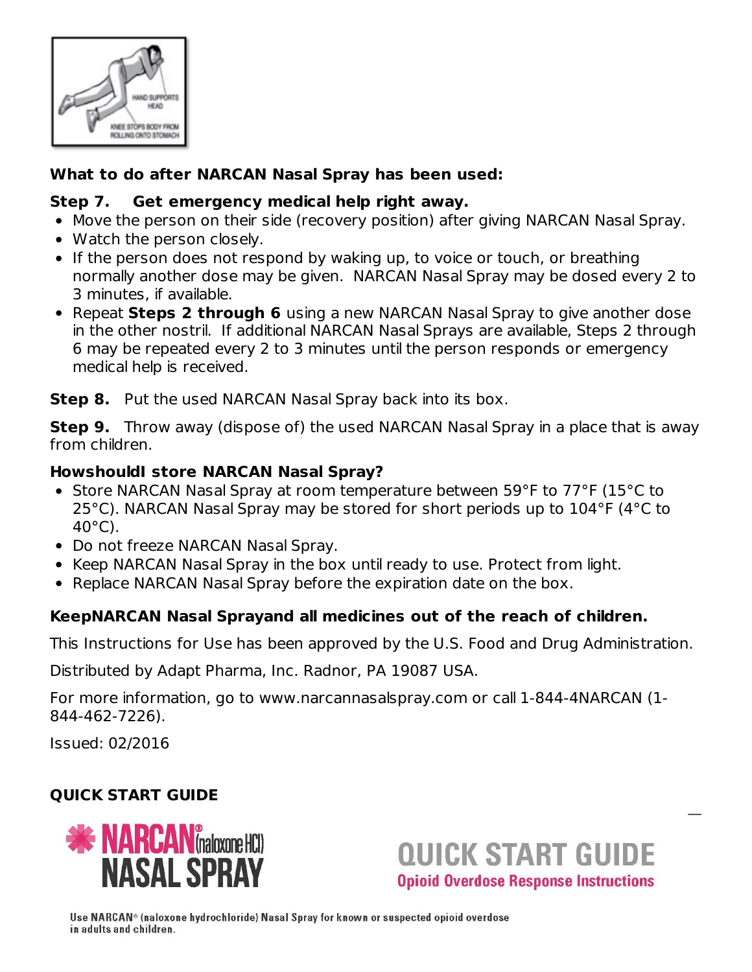

## **What to do after NARCAN Nasal Spray has been used:**

### **Step 7. Get emergency medical help right away.**

- Move the person on their side (recovery position) after giving NARCAN Nasal Spray.
- Watch the person closely.
- If the person does not respond by waking up, to voice or touch, or breathing normally another dose may be given. NARCAN Nasal Spray may be dosed every 2 to 3 minutes, if available.
- Repeat **Steps 2 through 6** using a new NARCAN Nasal Spray to give another dose in the other nostril. If additional NARCAN Nasal Sprays are available, Steps 2 through 6 may be repeated every 2 to 3 minutes until the person responds or emergency medical help is received.

**Step 8.** Put the used NARCAN Nasal Spray back into its box.

**Step 9.** Throw away (dispose of) the used NARCAN Nasal Spray in a place that is away from children.

### **HowshouldI store NARCAN Nasal Spray?**

- Store NARCAN Nasal Spray at room temperature between 59°F to 77°F (15°C to 25°C). NARCAN Nasal Spray may be stored for short periods up to 104°F (4°C to 40°C).
- Do not freeze NARCAN Nasal Spray.
- Keep NARCAN Nasal Spray in the box until ready to use. Protect from light.
- Replace NARCAN Nasal Spray before the expiration date on the box.

# **KeepNARCAN Nasal Sprayand all medicines out of the reach of children.**

This Instructions for Use has been approved by the U.S. Food and Drug Administration.

Distributed by Adapt Pharma, Inc. Radnor, PA 19087 USA.

For more information, go to www.narcannasalspray.com or call 1-844-4NARCAN (1- 844-462-7226).

Issued: 02/2016

# **QUICK START GUIDE**



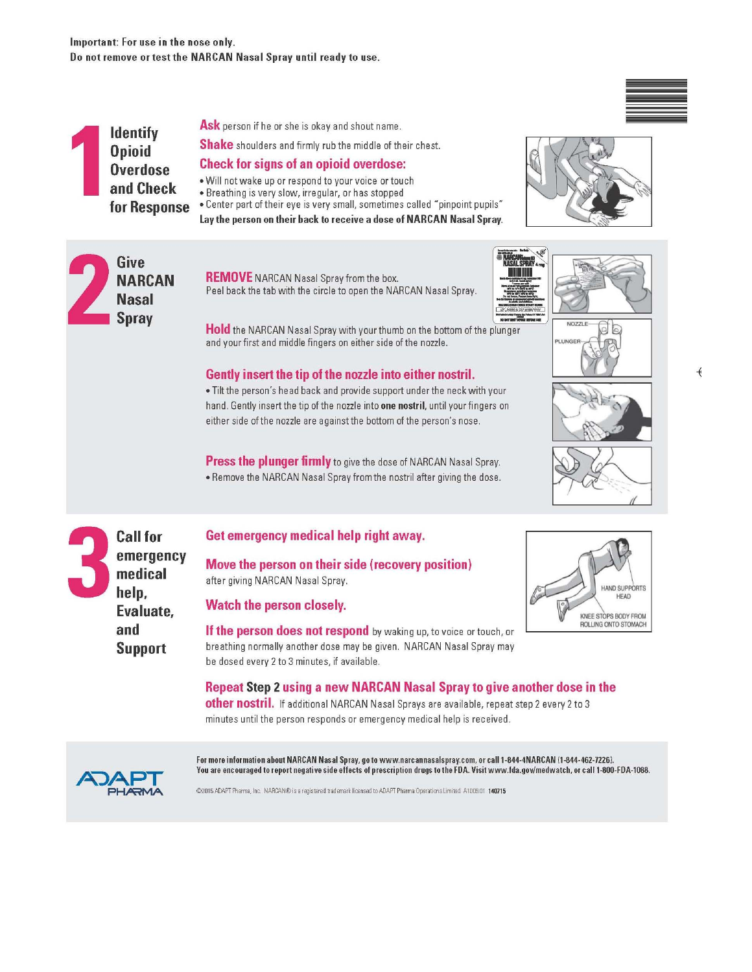#### Important: For use in the nose only. Do not remove or test the NARCAN Nasal Spray until ready to use.

**Identify Opioid Overdose** and Check for Response Ask person if he or she is okay and shout name.

**Shake** shoulders and firmly rub the middle of their chest.

#### **Check for signs of an opioid overdose:**

- . Will not wake up or respond to your voice or touch
- · Breathing is very slow, irregular, or has stopped

**REMOVE** NARCAN Nasal Spray from the box.

. Center part of their eye is very small, sometimes called "pinpoint pupils"

Lay the person on their back to receive a dose of NARCAN Nasal Spray.





Hold the NARCAN Nasal Spray with your thumb on the bottom of the plunger and your first and middle fingers on either side of the nozzle.

#### Gently insert the tip of the nozzle into either nostril.

. Tilt the person's head back and provide support under the neck with your hand. Gently insert the tip of the nozzle into one nostril, until your fingers on either side of the nozzle are against the bottom of the person's nose.

**Press the plunger firmly** to give the dose of NARCAN Nasal Spray. . Remove the NARCAN Nasal Spray from the nostril after giving the dose.





 $\overline{+}$ 



**HAND SUPPORTS** 

KNEE STOPS BODY FROM ROLLING ONTO STOMACH

**Call for** emergency medical help, Evaluate. and **Support** 

Get emergency medical help right away.

Move the person on their side (recovery position) after giving NARCAN Nasal Spray.

Watch the person closely.

If the person does not respond by waking up, to voice or touch, or breathing normally another dose may be given. NARCAN Nasal Spray may be dosed every 2 to 3 minutes, if available.

Repeat Step 2 using a new NARCAN Nasal Spray to give another dose in the other nostril. If additional NARCAN Nasal Sprays are available, repeat step 2 every 2 to 3 minutes until the person responds or emergency medical help is received.



For more information about NARCAN Nasal Spray, go to www.narcannasalspray.com, or call 1-844-4NARCAN (1-844-462-7226). You are encouraged to report negative side effects of prescription drugs to the FDA. Visit www.fda.gov/medwatch, or call 1-800-FDA-1088.

@2015 ADAPT Pharma, Inc. NARCAN® is a registered trademark licensed to ADAPT Pharma Operations Limited. A1009.01 140715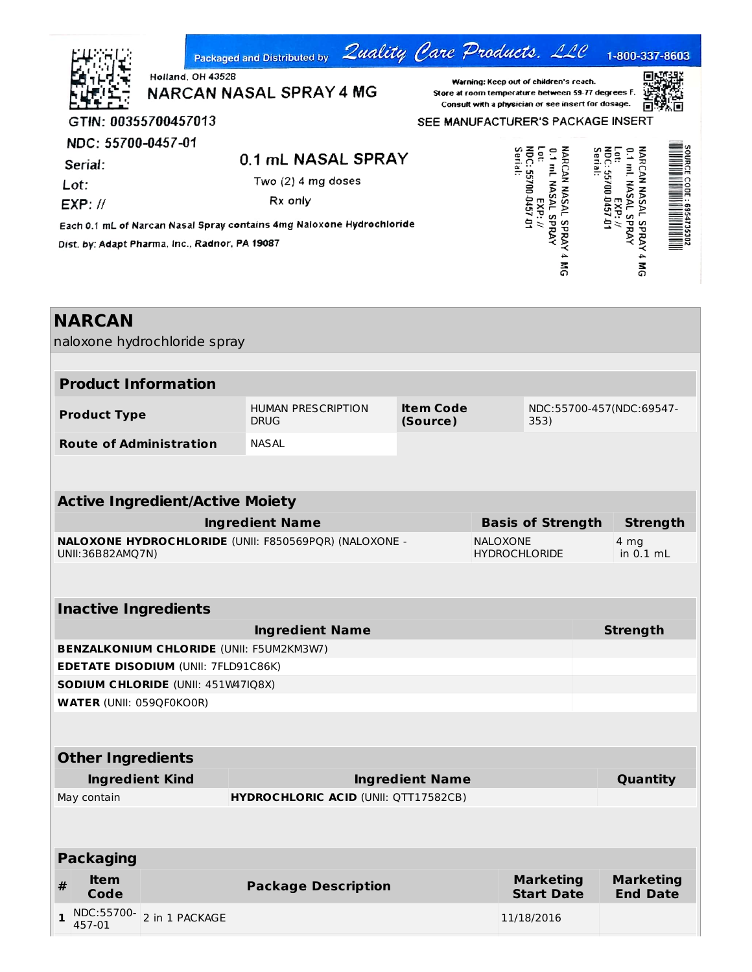|   |                          |                                                                       | <b>Packaged and Distributed by</b>          |                        | Zuality Care Products. LLC                                                                   |                                       | 1-800-337-8603                      |                 |
|---|--------------------------|-----------------------------------------------------------------------|---------------------------------------------|------------------------|----------------------------------------------------------------------------------------------|---------------------------------------|-------------------------------------|-----------------|
|   |                          | <b>Holland, OH 43528</b><br>NARCAN NASAL SPRAY 4 MG                   |                                             |                        | Warning: Keep out of children's reach.<br>Store at room temperature between 59-77 degrees F. |                                       |                                     |                 |
|   |                          |                                                                       |                                             |                        | Consult with a physician or see insert for dosage.                                           |                                       |                                     |                 |
|   |                          | GTIN: 00355700457013                                                  |                                             |                        | SEE MANUFACTURER'S PACKAGE INSERT                                                            |                                       |                                     |                 |
|   | NDC: 55700-0457-01       |                                                                       | 0.1 mL NASAL SPRAY                          |                        |                                                                                              | ā<br>C.1                              |                                     |                 |
|   | Serial:                  |                                                                       | Two $(2)$ 4 mg doses                        |                        |                                                                                              | <b>NARCAN NASAL</b><br>Serial:        |                                     |                 |
|   | Lot:                     |                                                                       | Rx only                                     |                        |                                                                                              | <b>NASAI</b>                          |                                     |                 |
|   | EXP: H                   |                                                                       |                                             |                        | NDC: 55700 0457 0                                                                            | EXP: //                               | 0C: 55700 0457 0<br>EXP: //         |                 |
|   |                          | Each 0.1 mL of Narcan Nasal Spray contains 4mg Naloxone Hydrochloride |                                             |                        |                                                                                              | <b>AVYdS</b><br><b>Avads</b>          | ml. NASAL SPRAY                     |                 |
|   |                          | Dist. by: Adapt Pharma, Inc., Radnor, PA 19087                        |                                             |                        |                                                                                              |                                       | <b>NARCAN NASAL SPRAY 4 MG</b>      |                 |
|   |                          |                                                                       |                                             |                        |                                                                                              | ទី                                    |                                     |                 |
|   | <b>NARCAN</b>            |                                                                       |                                             |                        |                                                                                              |                                       |                                     |                 |
|   |                          | naloxone hydrochloride spray                                          |                                             |                        |                                                                                              |                                       |                                     |                 |
|   |                          | <b>Product Information</b>                                            |                                             |                        |                                                                                              |                                       |                                     |                 |
|   |                          |                                                                       |                                             |                        |                                                                                              |                                       |                                     |                 |
|   | <b>Product Type</b>      |                                                                       | <b>HUMAN PRESCRIPTION</b><br><b>DRUG</b>    | Item Code<br>(Source)  |                                                                                              | NDC:55700-457(NDC:69547-<br>353)      |                                     |                 |
|   |                          | <b>Route of Administration</b>                                        | <b>NASAL</b>                                |                        |                                                                                              |                                       |                                     |                 |
|   |                          |                                                                       |                                             |                        |                                                                                              |                                       |                                     |                 |
|   |                          |                                                                       |                                             |                        |                                                                                              |                                       |                                     |                 |
|   |                          | <b>Active Ingredient/Active Moiety</b>                                |                                             |                        |                                                                                              |                                       |                                     |                 |
|   |                          |                                                                       | <b>Ingredient Name</b>                      |                        |                                                                                              | <b>Basis of Strength</b>              |                                     | <b>Strength</b> |
|   | UNII:36B82AMQ7N)         | <b>NALOXONE HYDROCHLORIDE (UNII: F850569PQR) (NALOXONE -</b>          |                                             |                        | <b>NALOXONE</b><br><b>HYDROCHLORIDE</b>                                                      |                                       | 4 mg<br>in $0.1$ mL                 |                 |
|   |                          |                                                                       |                                             |                        |                                                                                              |                                       |                                     |                 |
|   |                          | <b>Inactive Ingredients</b>                                           |                                             |                        |                                                                                              |                                       |                                     |                 |
|   |                          |                                                                       | <b>Ingredient Name</b>                      |                        |                                                                                              |                                       | <b>Strength</b>                     |                 |
|   |                          | <b>BENZALKONIUM CHLORIDE (UNII: F5UM2KM3W7)</b>                       |                                             |                        |                                                                                              |                                       |                                     |                 |
|   |                          | <b>EDETATE DISODIUM (UNII: 7FLD91C86K)</b>                            |                                             |                        |                                                                                              |                                       |                                     |                 |
|   |                          | SODIUM CHLORIDE (UNII: 451W47IQ8X)                                    |                                             |                        |                                                                                              |                                       |                                     |                 |
|   |                          | <b>WATER (UNII: 059QF0KO0R)</b>                                       |                                             |                        |                                                                                              |                                       |                                     |                 |
|   |                          |                                                                       |                                             |                        |                                                                                              |                                       |                                     |                 |
|   | <b>Other Ingredients</b> |                                                                       |                                             |                        |                                                                                              |                                       |                                     |                 |
|   |                          | <b>Ingredient Kind</b>                                                |                                             | <b>Ingredient Name</b> |                                                                                              |                                       | Quantity                            |                 |
|   | May contain              |                                                                       | <b>HYDROCHLORIC ACID (UNII: QTT17582CB)</b> |                        |                                                                                              |                                       |                                     |                 |
|   |                          |                                                                       |                                             |                        |                                                                                              |                                       |                                     |                 |
|   | <b>Packaging</b>         |                                                                       |                                             |                        |                                                                                              |                                       |                                     |                 |
| # | <b>Item</b><br>Code      |                                                                       | <b>Package Description</b>                  |                        |                                                                                              | <b>Marketing</b><br><b>Start Date</b> | <b>Marketing</b><br><b>End Date</b> |                 |
| 1 | NDC:55700-<br>457-01     | 2 in 1 PACKAGE                                                        |                                             |                        | 11/18/2016                                                                                   |                                       |                                     |                 |
|   |                          |                                                                       |                                             |                        |                                                                                              |                                       |                                     |                 |